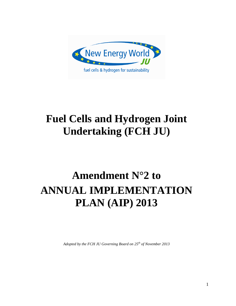

# **Fuel Cells and Hydrogen Joint Undertaking (FCH JU)**

# **Amendment N°2 to ANNUAL IMPLEMENTATION PLAN (AIP) 2013**

*Adopted by the FCH JU Governing Board on 25th of November 2013*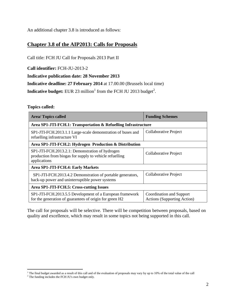An additional chapter 3.8 is introduced as follows:

# **Chapter 3.8 of the AIP2013: Calls for Proposals**

Call title: FCH JU Call for Proposals 2013 Part II

**Call identifier:** FCH-JU-2013-2

**Indicative publication date: 28 November 2013**

**Indicative deadline: 27 February 2014** at 17.00.00 (Brussels local time)

**Indicative budget:** EUR 23 million<sup>1</sup> from the FCH JU 2013 budget<sup>2</sup>.

#### **Topics called:**

| <b>Area/Topics called</b>                                                                                                  | <b>Funding Schemes</b>                                         |  |
|----------------------------------------------------------------------------------------------------------------------------|----------------------------------------------------------------|--|
| Area SP1-JTI-FCH.1: Transportation & Refuelling Infrastructure                                                             |                                                                |  |
| SP1-JTI-FCH.2013.1.1 Large-scale demonstration of buses and<br>refuelling infrastructure VI                                | Collaborative Project                                          |  |
| Area SP1-JTI-FCH.2: Hydrogen Production & Distribution                                                                     |                                                                |  |
| SP1-JTI-FCH.2013.2.1: Demonstration of hydrogen<br>production from biogas for supply to vehicle refuelling<br>applications | Collaborative Project                                          |  |
| Area SP1-JTI-FCH.4: Early Markets                                                                                          |                                                                |  |
| SP1-JTI-FCH.2013.4.2 Demonstration of portable generators,<br>back-up power and uninterruptible power systems              | Collaborative Project                                          |  |
| Area SP1-JTI-FCH.5: Cross-cutting Issues                                                                                   |                                                                |  |
| SP1-JTI-FCH.2013.5.5 Development of a European framework<br>for the generation of guarantees of origin for green H2        | Coordination and Support<br><b>Actions (Supporting Action)</b> |  |

The call for proposals will be selective. There will be competition between proposals, based on quality and excellence, which may result in some topics not being supported in this call.

 $\overline{a}$ 

 $1$  The final budget awarded as a result of this call and of the evaluation of proposals may vary by up to 10% of the total value of the call

<sup>&</sup>lt;sup>2</sup> The funding includes the FCH JU's own budget only.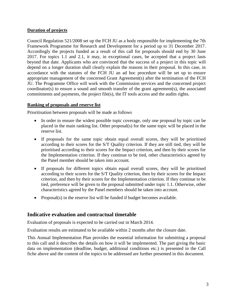#### **Duration of projects**

Council Regulation 521/2008 set up the FCH JU as a body responsible for implementing the 7th Framework Programme for Research and Development for a period up to 31 December 2017. Accordingly the projects funded as a result of this call for proposals should end by 30 June 2017. For topics 1.1 and 2.1, it may, in exceptional cases, be accepted that a project lasts beyond that date. Applicants who are convinced that the success of a project in this topic will depend on a longer duration shall clearly explain the reasons in their proposal. In this case, in accordance with the statutes of the FCH JU an ad hoc procedure will be set up to ensure appropriate management of the concerned Grant Agreement(s) after the termination of the FCH JU. The Programme Office will work with the Commission services and the concerned project coordinator(s) to ensure a sound and smooth transfer of the grant agreement(s), the associated commitments and payments, the project file(s), the IT tools access and the audits rights.

#### **Ranking of proposals and reserve list**

Prioritisation between proposals will be made as follows

- In order to ensure the widest possible topic coverage, only one proposal by topic can be placed in the main ranking list. Other proposal(s) for the same topic will be placed in the reserve list.
- If proposals for the same topic obtain equal overall scores, they will be prioritised according to their scores for the S/T Quality criterion. If they are still tied, they will be prioritised according to their scores for the Impact criterion, and then by their scores for the Implementation criterion. If they continue to be tied, other characteristics agreed by the Panel member should be taken into account.
- If proposals for different topics obtain equal overall scores, they will be prioritised according to their scores for the S/T Quality criterion, then by their scores for the Impact criterion, and then by their scores for the Implementation criterion. If they continue to be tied, preference will be given to the proposal submitted under topic 1.1. Otherwise, other characteristics agreed by the Panel members should be taken into account.
- Proposal(s) in the reserve list will be funded if budget becomes available.

# **Indicative evaluation and contractual timetable**

Evaluation of proposals is expected to be carried out in March 2014.

Evaluation results are estimated to be available within 2 months after the closure date.

This Annual Implementation Plan provides the essential information for submitting a proposal to this call and it describes the details on how it will be implemented. The part giving the basic data on implementation (deadline, budget, additional conditions etc.) is presented in the Call fiche above and the content of the topics to be addressed are further presented in this document.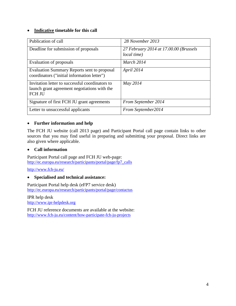#### **Indicative timetable for this call**

| Publication of call                                                                                              | 28 November 2013                                      |
|------------------------------------------------------------------------------------------------------------------|-------------------------------------------------------|
| Deadline for submission of proposals                                                                             | 27 February 2014 at 17.00.00 (Brussels<br>local time) |
| Evaluation of proposals                                                                                          | March 2014                                            |
| <b>Evaluation Summary Reports sent to proposal</b><br>coordinators ("initial information letter")                | April 2014                                            |
| Invitation letter to successful coordinators to<br>launch grant agreement negotiations with the<br><b>FCH JU</b> | May 2014                                              |
| Signature of first FCH JU grant agreements                                                                       | <b>From September 2014</b>                            |
| Letter to unsuccessful applicants                                                                                | From September2014                                    |

# **Further information and help**

The FCH JU website (call 2013 page) and Participant Portal call page contain links to other sources that you may find useful in preparing and submitting your proposal. Direct links are also given where applicable.

## **Call information**

Participant Portal call page and FCH JU web-page: [http://ec.europa.eu/research/participants/portal/page/fp7\\_calls](http://ec.europa.eu/research/participants/portal/page/fp7_calls)

<http://www.fch-ju.eu/>

#### **Specialised and technical assistance:**

Participant Portal help desk (eFP7 service desk) http://ec.europa.eu/research/participants/portal/page/contactus

IPR help desk http://www.ipr-helpdesk.org

FCH JU reference documents are available at the website: <http://www.fch-ju.eu/content/how-participate-fch-ju-projects>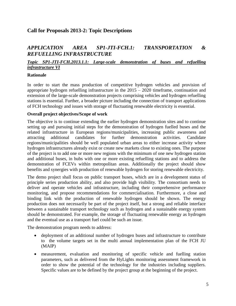# **Call for Proposals 2013-2: Topic Descriptions**

# *APPLICATION AREA SP1-JTI-FCH.1: TRANSPORTATION & REFUELLING INFRASTRUCTURE*

#### *Topic SP1-JTI-FCH.2013.1.1: Large-scale demonstration of buses and refuelling infrastructure VI*

#### **Rationale**

In order to start the mass production of competitive hydrogen vehicles and provision of appropriate hydrogen refuelling infrastructure in the 2015 – 2020 timeframe, continuation and extension of the large-scale demonstration projects comprising vehicles and hydrogen refuelling stations is essential. Further, a broader picture including the connection of transport applications of FCH technology and issues with storage of fluctuating renewable electricity is essential.

#### **Overall project objectives/Scope of work**

The objective is to continue extending the earlier hydrogen demonstration sites and to continue setting up and pursuing initial steps for the demonstration of hydrogen fuelled buses and the related infrastructure in European regions/municipalities, increasing public awareness and attracting additional candidates for further demonstration activities. Candidate regions/municipalities should be well populated urban areas to either increase activity where hydrogen infrastructures already exist or create new markets close to existing ones. The purpose of the project is to add one or more new regions with the minimum of one new hydrogen station and additional buses, in hubs with one or more existing refuelling stations and to address the demonstration of FCEVs within metropolitan areas. Additionally the project should show benefits and synergies with production of renewable hydrogen for storing renewable electricity.

The demo project shall focus on public transport buses, which are in a development status of principle series production ability, and also provide high visibility. The consortium needs to deliver and operate vehicles and infrastructure, including their comprehensive performance monitoring, and propose recommendations for commercialisation. Furthermore, a close and binding link with the production of renewable hydrogen should be shown. The energy production does not necessarily be part of the project itself, but a strong and reliable interface between a sustainable transport technology such as hydrogen and a sustainable energy system should be demonstrated. For example, the storage of fluctuating renewable energy as hydrogen and the eventual use as a transport fuel could be such an issue.

The demonstration program needs to address:

- deployment of an additional number of hydrogen buses and infrastructure to contribute to the volume targets set in the multi annual implementation plan of the FCH JU (MAIP)
- measurement, evaluation and monitoring of specific vehicle and fuelling station parameters, such as delivered from the HyLights monitoring assessment framework in order to show the potential of the technology for the industries including suppliers. Specific values are to be defined by the project group at the beginning of the project.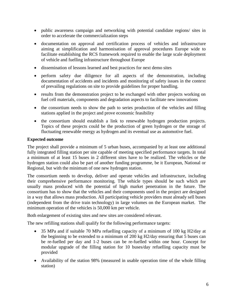- public awareness campaign and networking with potential candidate regions/ sites in order to accelerate the commercialization steps
- documentation on approval and certification process of vehicles and infrastructure aiming at simplification and harmonisation of approval procedures Europe wide to facilitate establishing the RCS framework required to enable the large scale deployment of vehicle and fuelling infrastructure throughout Europe
- dissemination of lessons learned and best practices for next demo sites
- perform safety due diligence for all aspects of the demonstration, including documentation of accidents and incidents and monitoring of safety issues in the context of prevailing regulations on site to provide guidelines for proper handling.
- results from the demonstration project to be exchanged with other projects working on fuel cell materials, components and degradation aspects to facilitate new innovations
- the consortium needs to show the path to series production of the vehicles and filling stations applied in the project and prove economic feasibility
- the consortium should establish a link to renewable hydrogen production projects. Topics of these projects could be the production of green hydrogen or the storage of fluctuating renewable energy as hydrogen and its eventual use as automotive fuel.

# **Expected outcome**

The project shall provide a minimum of 5 urban buses, accompanied by at least one additional fully integrated filling station per site capable of meeting specified performance targets. In total a minimum of at least 15 buses in 2 different sites have to be realized. The vehicles or the hydrogen station could also be part of another funding programme, be it European, National or Regional, but with the minimum of one new hydrogen station.

The consortium needs to develop, deliver and operate vehicles and infrastructure, including their comprehensive performance monitoring. The vehicle types should be such which are usually mass produced with the potential of high market penetration in the future. The consortium has to show that the vehicles and their components used in the project are designed in a way that allows mass production. All participating vehicle providers must already sell buses (independent from the drive train technology) in large volumes on the European market. The minimum operation of the vehicles is 50,000 km per vehicle.

Both enlargement of existing sites and new sites are considered relevant.

The new refilling stations shall qualify for the following performance targets:

- 35 MPa and if suitable 70 MPa refuelling capacity of a minimum of 100 kg H2/day at the beginning to be extended to a minimum of 200 kg H2/day ensuring that 5 buses can be re-fuelled per day and 1-2 buses can be re-fuelled within one hour. Concept for modular upgrade of the filling station for 10 buses/day refuelling capacity must be provided
- Availability of the station 98% (measured in usable operation time of the whole filling station)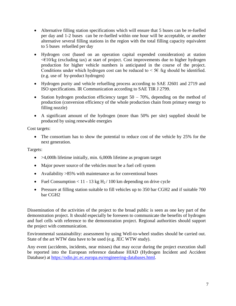- Alternative filling station specifications which will ensure that 5 buses can be re-fuelled per day and 1-2 buses can be re-fuelled within one hour will be acceptable, or another alternative several filling stations in the region with the total filling capacity equivalent to 5 buses refuelled per day
- Hydrogen cost (based on an operation capital expended consideration) at station  $\leq$  10/kg (excluding tax) at start of project. Cost improvements due to higher hydrogen production for higher vehicle numbers is anticipated in the course of the project. Conditions under which hydrogen cost can be reduced to  $\leq$  5 $\epsilon$  /kg should be identified. (e.g. use of by-product hydrogen)
- Hydrogen purity and vehicle refuelling process according to SAE J2601 and 2719 and ISO specifications. IR Communication according to SAE TIR J 2799.
- Station hydrogen production efficiency target  $50 70\%$ , depending on the method of production (conversion efficiency of the whole production chain from primary energy to filling nozzle)
- A significant amount of the hydrogen (more than 50% per site) supplied should be produced by using renewable energies

Cost targets:

• The consortium has to show the potential to reduce cost of the vehicle by 25% for the next generation.

Targets:

- $\bullet$  >4,000h lifetime initially, min. 6,000h lifetime as program target
- Major power source of the vehicles must be a fuel cell system
- Availability >85% with maintenance as for conventional buses
- Fuel Consumption < 11 13 kg  $H<sub>2</sub>$  / 100 km depending on drive cycle
- Pressure at filling station suitable to fill vehicles up to 350 bar CGH2 and if suitable 700 bar CGH2

Dissemination of the activities of the project to the broad public is seen as one key part of the demonstration project. It should especially be foreseen to communicate the benefits of hydrogen and fuel cells with reference to the demonstration project. Regional authorities should support the project with communication.

Environmental sustainability: assessment by using Well-to-wheel studies should be carried out. State of the art WTW data have to be used (e.g. JEC WTW study).

Any event (accidents, incidents, near misses) that may occur during the project execution shall be reported into the European reference database HIAD (Hydrogen Incident and Accident Database) at [https://odin.jrc.ec.europa.eu/engineering-databases.html.](https://odin.jrc.ec.europa.eu/engineering-databases.html)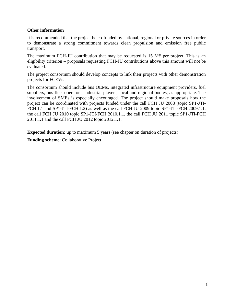#### **Other information**

It is recommended that the project be co-funded by national, regional or private sources in order to demonstrate a strong commitment towards clean propulsion and emission free public transport.

The maximum FCH-JU contribution that may be requested is 15 M $\epsilon$  per project. This is an eligibility criterion – proposals requesting FCH-JU contributions above this amount will not be evaluated.

The project consortium should develop concepts to link their projects with other demonstration projects for FCEVs.

The consortium should include bus OEMs, integrated infrastructure equipment providers, fuel suppliers, bus fleet operators, industrial players, local and regional bodies, as appropriate. The involvement of SMEs is especially encouraged. The project should make proposals how the project can be coordinated with projects funded under the call FCH JU 2008 (topic SP1-JTI-FCH.1.1 and SP1-JTI-FCH.1.2) as well as the call FCH JU 2009 topic SP1-JTI-FCH.2009.1.1, the call FCH JU 2010 topic SP1-JTI-FCH 2010.1.1, the call FCH JU 2011 topic SP1-JTI-FCH 2011.1.1 and the call FCH JU 2012 topic 2012.1.1.

**Expected duration:** up to maximum 5 years (see chapter on duration of projects)

**Funding scheme**: Collaborative Project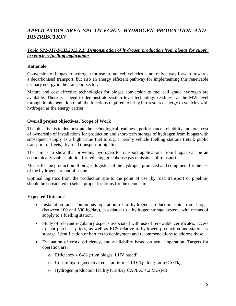# *APPLICATION AREA SP1-JTI-FCH.2: HYDROGEN PRODUCTION AND DISTRIBUTION*

## *Topic SP1-JTI-FCH.2013.2.1: Demonstration of hydrogen production from biogas for supply to vehicle refuelling applications*

#### **Rationale**

Conversion of biogas to hydrogen for use in fuel cell vehicles is not only a way forward towards a decarbonised transport, but also an energy efficient pathway for implementing this renewable primary energy in the transport sector.

Mature and cost effective technologies for biogas conversion to fuel cell grade hydrogen are available. There is a need to demonstrate system level technology readiness at the MW level through implementation of all the functions required to bring bio-resource energy to vehicles with hydrogen as the energy carrier.

#### **Overall project objectives / Scope of Work**

The objective is to demonstrate the technological readiness, performance, reliability and total cost of ownership of installations for production and short-term storage of hydrogen from biogas with subsequent supply as a high value fuel to e.g. a nearby vehicle fuelling stations (retail, public transport, or fleets), by road transport or pipeline.

The aim is to show that providing hydrogen to transport applications from biogas can be an economically viable solution for reducing greenhouse gas emissions of transport.

Means for the production of biogas, logistics of the hydrogen produced and equipment for the use of the hydrogen are out of scope.

Optimal logistics from the production site to the point of use (by road transport or pipeline) should be considered to select proper locations for the demo site.

#### **Expected Outcome**

- Installation and continuous operation of a hydrogen production unit from biogas (between 100 and 500 kg/day), associated to a hydrogen storage system, with means of supply to a fuelling station.
- Study of relevant regulatory aspects associated with use of renewable certificates, access to spot purchase prices, as well as RCS relative to hydrogen production and stationary storage. Identification of barriers to deployment and recommendations to address these.
- Evaluation of costs, efficiency, and availability based on actual operation. Targets for operation are:
	- $\circ$  Efficiency > 64% (from biogas, LHV based)
	- o Cost of hydrogen delivered short term <  $10 \text{ E/kg}$ , long-term <  $5 \text{ E/kg}$
	- o Hydrogen production facility turn-key CAPEX: 4.2 M $E/(t/d)$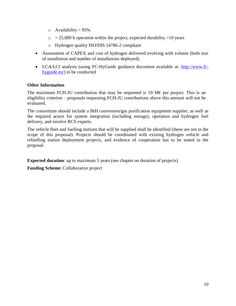- $\circ$  Availability > 95%
- $\circ$  > 25,000 h operation within the project, expected durability > 10 years
- o Hydrogen quality ISO/DIS 14786-2 compliant
- Assessment of CAPEX and cost of hydrogen delivered evolving with volume (both size of installation and number of installations deployed).
- LCA/LCI analysis (using FC-HyGuide guidance document available at: [http://www.fc](http://www.fc-hyguide.eu/)[hyguide.eu/\)](http://www.fc-hyguide.eu/) to be conducted

## **Other Information**

The maximum FCH-JU contribution that may be requested is 10 M $\epsilon$  per project. This is an eligibility criterion – proposals requesting FCH-JU contributions above this amount will not be evaluated.

The consortium should include a BtH conversion/gas purification equipment supplier, as well as the required actors for system integration (including storage), operation and hydrogen fuel delivery, and involve RCS experts.

The vehicle fleet and fuelling stations that will be supplied shall be identified (these are not in the scope of this proposal). Projects should be coordinated with existing hydrogen vehicle and refuelling station deployment projects, and evidence of cooperation has to be stated in the proposal.

**Expected duration**: up to maximum 5 years (see chapter on duration of projects)

**Funding Scheme:** Collaborative project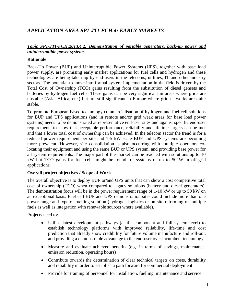# *APPLICATION AREA SP1-JTI-FCH.4: EARLY MARKETS*

# *Topic SP1-JTI-FCH.2013.4.2: Demonstration of portable generators, back-up power and uninterruptible power systems*

#### **Rationale**

Back-Up Power (BUP) and Uninterruptible Power Systems (UPS), together with base load power supply, are promising early market applications for fuel cells and hydrogen and these technologies are being taken up by end-users in the telecoms, utilities, IT and other industry sectors. The potential to move into formal system implementation in the field is driven by the Total Cost of Ownership (TCO) gains resulting from the substitution of diesel gensets and batteries by hydrogen fuel cells. These gains can be very significant in areas where grids are unstable (Asia, Africa, etc.) but are still significant in Europe where grid networks are quite stable.

To promote European based technology commercialisation of hydrogen and fuel cell solutions for BUP and UPS applications (and in remote and/or grid weak areas for base load power systems) needs to be demonstrated at representative end-user sites and against specific end-user requirements to show that acceptable performance, reliability and lifetime targets can be met and that a lower total cost of ownership can be achieved. In the telecom sector the trend is for a reduced power requirement per site and 1-5 kW scale BUP and UPS systems are becoming more prevalent. However, site consolidation is also occurring with multiple operators colocating their equipment and using the same BUP or UPS system, and providing base power for all system requirements. The major part of the market can be reached with solutions up to 10 kW but TCO gains for fuel cells might be found for systems of up to 50kW in off-grid applications.

#### **Overall project objectives / Scope of Work**

The overall objective is to deploy BUP or/and UPS units that can show a cost competitive total cost of ownership (TCO) when compared to legacy solutions (battery and diesel generators). The demonstration focus will be in the power requirement range of 1-10 kW or up to 50 kW on an exceptional basis. Fuel cell BUP and UPS demonstration sites could include more than one power range and type of fuelling solution (hydrogen logistics or on-site reforming of multiple fuels as well as integration with renewable sources where available).

Projects need to:

- Utilise latest development pathways (at the component and full system level) to establish technology platforms with improved reliability, life-time and cost prediction that already show credibility for future volume manufacture and roll-out, and providing a demonstrable advantage to the end-user over incumbent technology
- Measure and evaluate achieved benefits (e.g. in terms of savings, maintenance, emission reduction, operating hours)
- Contribute towards the determination of clear technical targets on costs, durability and reliability in order to establish a path forward for commercial deployment
- Provide for training of personnel for installation, fuelling, maintenance and service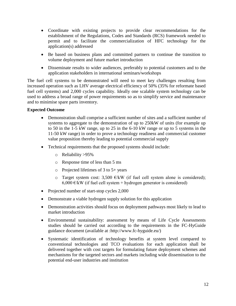- Coordinate with existing projects to provide clear recommendations for the establishment of the Regulations, Codes and Standards (RCS) framework needed to permit and to facilitate the commercialization of HFC technology for the application(s) addressed
- Be based on business plans and committed partners to continue the transition to volume deployment and future market introduction
- Disseminate results to wider audiences, preferably to potential customers and to the application stakeholders in international seminars/workshops

The fuel cell systems to be demonstrated will need to meet key challenges resulting from increased operation such as LHV average electrical efficiency of 50% (35% for reformate based fuel cell systems) and 2,000 cycles capability. Ideally one scalable system technology can be used to address a broad range of power requirements so as to simplify service and maintenance and to minimise spare parts inventory.

#### **Expected Outcome**

- Demonstration shall comprise a sufficient number of sites and a sufficient number of systems to aggregate to the demonstration of up to 250kW of units (for example up to 50 in the 1-5 kW range, up to 25 in the 6-10 kW range or up to 5 systems in the 11-50 kW range) in order to prove a technology readiness and commercial customer value proposition thereby leading to potential commercial supply
- Technical requirements that the proposed systems should include:
	- o Reliability >95%
	- o Response time of less than 5 ms
	- o Projected lifetimes of 3 to 5+ years
	- o Target system cost: 3,500  $\epsilon$ /kW (if fuel cell system alone is considered); 6,000 €/kW (if fuel cell system + hydrogen generator is considered)
- Projected number of start-stop cycles 2,000
- Demonstrate a viable hydrogen supply solution for this application
- Demonstration activities should focus on deployment pathways most likely to lead to market introduction
- Environmental sustainability: assessment by means of Life Cycle Assessments studies should be carried out according to the requirements in the FC-HyGuide guidance document (available at :http://www.fc-hyguide.eu/)
- Systematic identification of technology benefits at system level compared to conventional technologies and TCO evaluations for each application shall be delivered together with cost targets for formulating future deployment schemes and mechanisms for the targeted sectors and markets including wide dissemination to the potential end-user industries and institution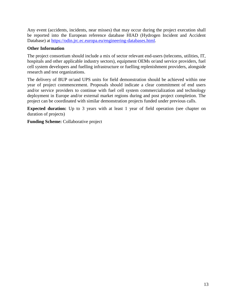Any event (accidents, incidents, near misses) that may occur during the project execution shall be reported into the European reference database HIAD (Hydrogen Incident and Accident Database) at [https://odin.jrc.ec.europa.eu/engineering-databases.html.](https://odin.jrc.ec.europa.eu/engineering-databases.html)

## **Other Information**

The project consortium should include a mix of sector relevant end-users (telecoms, utilities, IT, hospitals and other applicable industry sectors), equipment OEMs or/and service providers, fuel cell system developers and fuelling infrastructure or fuelling replenishment providers, alongside research and test organizations.

The delivery of BUP or/and UPS units for field demonstration should be achieved within one year of project commencement. Proposals should indicate a clear commitment of end users and/or service providers to continue with fuel cell system commercialization and technology deployment in Europe and/or external market regions during and post project completion. The project can be coordinated with similar demonstration projects funded under previous calls.

**Expected duration:** Up to 3 years with at least 1 year of field operation (see chapter on duration of projects)

**Funding Scheme:** Collaborative project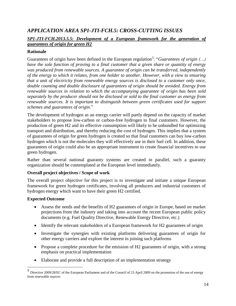# *APPLICATION AREA SP1-JTI-FCH.5: CROSS-CUTTING ISSUES*

# *SP1-JTI-FCH.2013.5.5: Development of a European framework for the generation of guarantees of origin for green H2*

## **Rationale**

Guarantees of origin have been defined in the European regulation<sup>3</sup>: "*Guarantees of origin (...) have the sole function of proving to a final customer that a given share or quantity of energy was produced from renewable sources. A guarantee of origin can be transferred, independently of the energy to which it relates, from one holder to another. However, with a view to ensuring that a unit of electricity from renewable energy sources is disclosed to a customer only once, double counting and double disclosure of guarantees of origin should be avoided. Energy from renewable sources in relation to which the accompanying guarantee of origin has been sold separately by the producer should not be disclosed or sold to the final customer as energy from renewable sources. It is important to distinguish between green certificates used for support schemes and guarantees of origin.*"

The development of hydrogen as an energy carrier will partly depend on the capacity of market stakeholders to propose low-carbon or carbon-free hydrogen to final customers. However, the production of green H2 and its effective consumption will likely to be unbundled for optimizing transport and distribution, and thereby reducing the cost of hydrogen. This implies that a system of guarantees of origin for green hydrogen is created so that final customers can buy low-carbon hydrogen which is not the molecules they will effectively use in their fuel cell. In addition, these guarantees of origin could also be an appropriate instrument to create financial incentives to use green hydrogen.

Rather than several national guaranty systems are created in parallel, such a guaranty organization should be contemplated at the European level immediately.

# **Overall project objectives / Scope of work**

The overall project objective for this project is to investigate and initiate a unique European framework for green hydrogen certificates, involving all producers and industrial customers of hydrogen energy which want to have their green H2 certified.

# **Expected Outcome**

- Assess the needs and the benefits of H2 guarantees of origin in Europe, based on market projections from the industry and taking into account the recent European public policy documents (e.g. Fuel Quality Directive, Renewable Energy Directive, etc.)
- Identify the relevant stakeholders of a European framework for H2 guarantees of origin
- Investigate the synergies with existing platforms delivering guarantees of origin for other energy carriers and explore the interest in joining such platforms
- Propose a complete procedure for the emission of H2 guarantees of origin, with a strong emphasis on practical implementation
- Elaborate and provide a full description of an implementation strategy

<sup>&</sup>lt;sup>3</sup> Directive 2009/28/EC of the European Parliament and of the Council of 23 April 2009 on the promotion of the use of energy from renewable sources